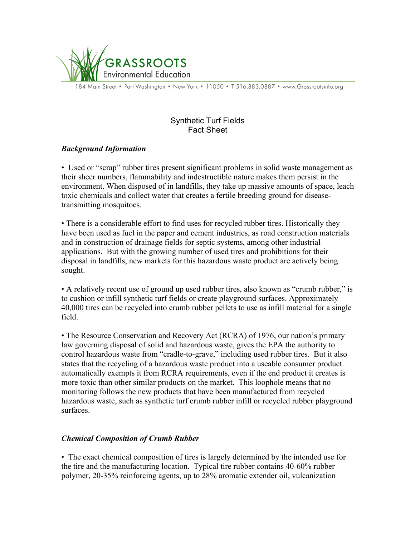

184 Main Street • Port Washington • New York • 11050 • T 516.883.0887 • www.Grassrootsinfo.org

# Synthetic Turf Fields Fact Sheet

## *Background Information*

• Used or "scrap" rubber tires present significant problems in solid waste management as their sheer numbers, flammability and indestructible nature makes them persist in the environment. When disposed of in landfills, they take up massive amounts of space, leach toxic chemicals and collect water that creates a fertile breeding ground for diseasetransmitting mosquitoes.

• There is a considerable effort to find uses for recycled rubber tires. Historically they have been used as fuel in the paper and cement industries, as road construction materials and in construction of drainage fields for septic systems, among other industrial applications. But with the growing number of used tires and prohibitions for their disposal in landfills, new markets for this hazardous waste product are actively being sought.

• A relatively recent use of ground up used rubber tires, also known as "crumb rubber," is to cushion or infill synthetic turf fields or create playground surfaces. Approximately 40,000 tires can be recycled into crumb rubber pellets to use as infill material for a single field.

• The Resource Conservation and Recovery Act (RCRA) of 1976, our nation's primary law governing disposal of solid and hazardous waste, gives the EPA the authority to control hazardous waste from "cradle-to-grave," including used rubber tires. But it also states that the recycling of a hazardous waste product into a useable consumer product automatically exempts it from RCRA requirements, even if the end product it creates is more toxic than other similar products on the market. This loophole means that no monitoring follows the new products that have been manufactured from recycled hazardous waste, such as synthetic turf crumb rubber infill or recycled rubber playground surfaces.

## *Chemical Composition of Crumb Rubber*

• The exact chemical composition of tires is largely determined by the intended use for the tire and the manufacturing location. Typical tire rubber contains 40-60% rubber polymer, 20-35% reinforcing agents, up to 28% aromatic extender oil, vulcanization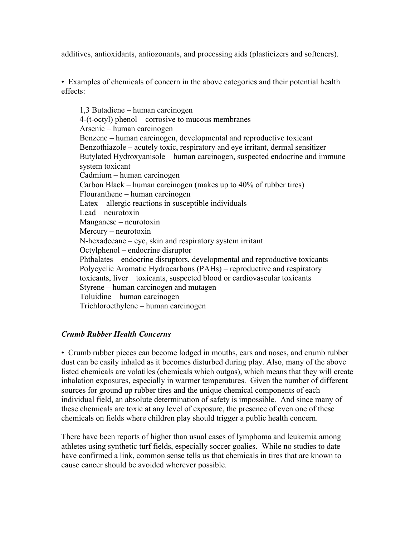additives, antioxidants, antiozonants, and processing aids (plasticizers and softeners).

• Examples of chemicals of concern in the above categories and their potential health effects:

1,3 Butadiene – human carcinogen 4-(t-octyl) phenol – corrosive to mucous membranes Arsenic – human carcinogen Benzene – human carcinogen, developmental and reproductive toxicant Benzothiazole – acutely toxic, respiratory and eye irritant, dermal sensitizer Butylated Hydroxyanisole – human carcinogen, suspected endocrine and immune system toxicant Cadmium – human carcinogen Carbon Black – human carcinogen (makes up to 40% of rubber tires) Flouranthene – human carcinogen Latex – allergic reactions in susceptible individuals Lead – neurotoxin Manganese – neurotoxin Mercury – neurotoxin N-hexadecane – eye, skin and respiratory system irritant Octylphenol – endocrine disruptor Phthalates – endocrine disruptors, developmental and reproductive toxicants Polycyclic Aromatic Hydrocarbons (PAHs) – reproductive and respiratory toxicants, liver toxicants, suspected blood or cardiovascular toxicants Styrene – human carcinogen and mutagen Toluidine – human carcinogen Trichloroethylene – human carcinogen

## *Crumb Rubber Health Concerns*

• Crumb rubber pieces can become lodged in mouths, ears and noses, and crumb rubber dust can be easily inhaled as it becomes disturbed during play. Also, many of the above listed chemicals are volatiles (chemicals which outgas), which means that they will create inhalation exposures, especially in warmer temperatures. Given the number of different sources for ground up rubber tires and the unique chemical components of each individual field, an absolute determination of safety is impossible. And since many of these chemicals are toxic at any level of exposure, the presence of even one of these chemicals on fields where children play should trigger a public health concern.

There have been reports of higher than usual cases of lymphoma and leukemia among athletes using synthetic turf fields, especially soccer goalies. While no studies to date have confirmed a link, common sense tells us that chemicals in tires that are known to cause cancer should be avoided wherever possible.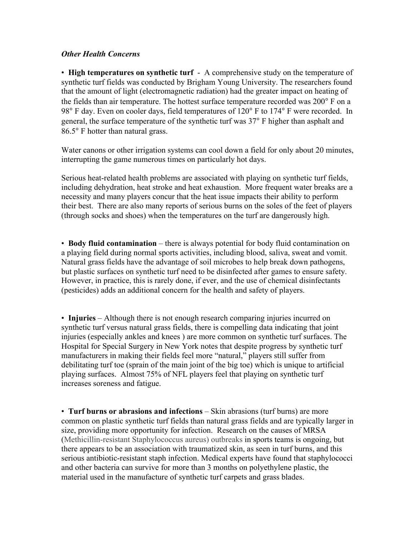### *Other Health Concerns*

• **High temperatures on synthetic turf** - A comprehensive study on the temperature of synthetic turf fields was conducted by Brigham Young University. The researchers found that the amount of light (electromagnetic radiation) had the greater impact on heating of the fields than air temperature. The hottest surface temperature recorded was 200° F on a 98° F day. Even on cooler days, field temperatures of 120° F to 174° F were recorded. In general, the surface temperature of the synthetic turf was 37° F higher than asphalt and 86.5° F hotter than natural grass.

Water canons or other irrigation systems can cool down a field for only about 20 minutes, interrupting the game numerous times on particularly hot days.

Serious heat-related health problems are associated with playing on synthetic turf fields, including dehydration, heat stroke and heat exhaustion. More frequent water breaks are a necessity and many players concur that the heat issue impacts their ability to perform their best. There are also many reports of serious burns on the soles of the feet of players (through socks and shoes) when the temperatures on the turf are dangerously high.

• **Body fluid contamination** – there is always potential for body fluid contamination on a playing field during normal sports activities, including blood, saliva, sweat and vomit. Natural grass fields have the advantage of soil microbes to help break down pathogens, but plastic surfaces on synthetic turf need to be disinfected after games to ensure safety. However, in practice, this is rarely done, if ever, and the use of chemical disinfectants (pesticides) adds an additional concern for the health and safety of players.

• **Injuries** – Although there is not enough research comparing injuries incurred on synthetic turf versus natural grass fields, there is compelling data indicating that joint injuries (especially ankles and knees ) are more common on synthetic turf surfaces. The Hospital for Special Surgery in New York notes that despite progress by synthetic turf manufacturers in making their fields feel more "natural," players still suffer from debilitating turf toe (sprain of the main joint of the big toe) which is unique to artificial playing surfaces. Almost 75% of NFL players feel that playing on synthetic turf increases soreness and fatigue.

• **Turf burns or abrasions and infections** – Skin abrasions (turf burns) are more common on plastic synthetic turf fields than natural grass fields and are typically larger in size, providing more opportunity for infection. Research on the causes of MRSA (Methicillin-resistant Staphylococcus aureus) outbreaks in sports teams is ongoing, but there appears to be an association with traumatized skin, as seen in turf burns, and this serious antibiotic-resistant staph infection. Medical experts have found that staphylococci and other bacteria can survive for more than 3 months on polyethylene plastic, the material used in the manufacture of synthetic turf carpets and grass blades.